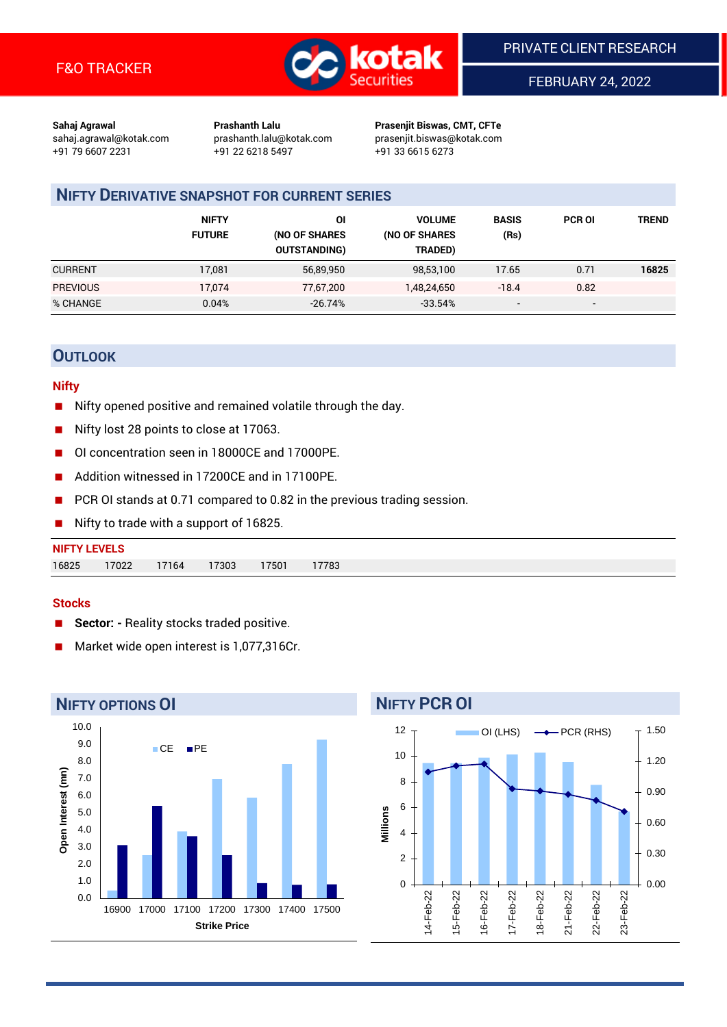

FEBRUARY 24, 2022

**Sahaj Agrawal Prashanth Lalu Prasenjit Biswas, CMT, CFTe** +91 79 6607 2231 +91 22 6218 5497 +91 33 6615 6273

sahaj.agrawal@kotak.com [prashanth.lalu@kotak.com](mailto:prashanth.lalu@kotak.com) prasenjit.biswas@kotak.com

# **NIFTY DERIVATIVE SNAPSHOT FOR CURRENT SERIES**

|                 | <b>NIFTY</b><br><b>FUTURE</b> | ΟI<br>(NO OF SHARES<br><b>OUTSTANDING)</b> | <b>VOLUME</b><br>(NO OF SHARES<br>TRADED) | <b>BASIS</b><br>(Rs)     | <b>PCR OI</b>            | TREND |
|-----------------|-------------------------------|--------------------------------------------|-------------------------------------------|--------------------------|--------------------------|-------|
| <b>CURRENT</b>  | 17,081                        | 56,89,950                                  | 98,53,100                                 | 17.65                    | 0.71                     | 16825 |
| <b>PREVIOUS</b> | 17.074                        | 77,67,200                                  | 1,48,24,650                               | $-18.4$                  | 0.82                     |       |
| % CHANGE        | 0.04%                         | $-26.74%$                                  | $-33.54%$                                 | $\overline{\phantom{a}}$ | $\overline{\phantom{a}}$ |       |

## **OUTLOOK**

#### **Nifty**

- Nifty opened positive and remained volatile through the day.
- Nifty lost 28 points to close at 17063.
- OI concentration seen in 18000CE and 17000PE.
- Addition witnessed in 17200CE and in 17100PE.
- PCR OI stands at 0.71 compared to 0.82 in the previous trading session.
- Nifty to trade with a support of 16825.

#### **Stocks**

- **Sector: -** Reality stocks traded positive.
- Market wide open interest is 1,077,316Cr.



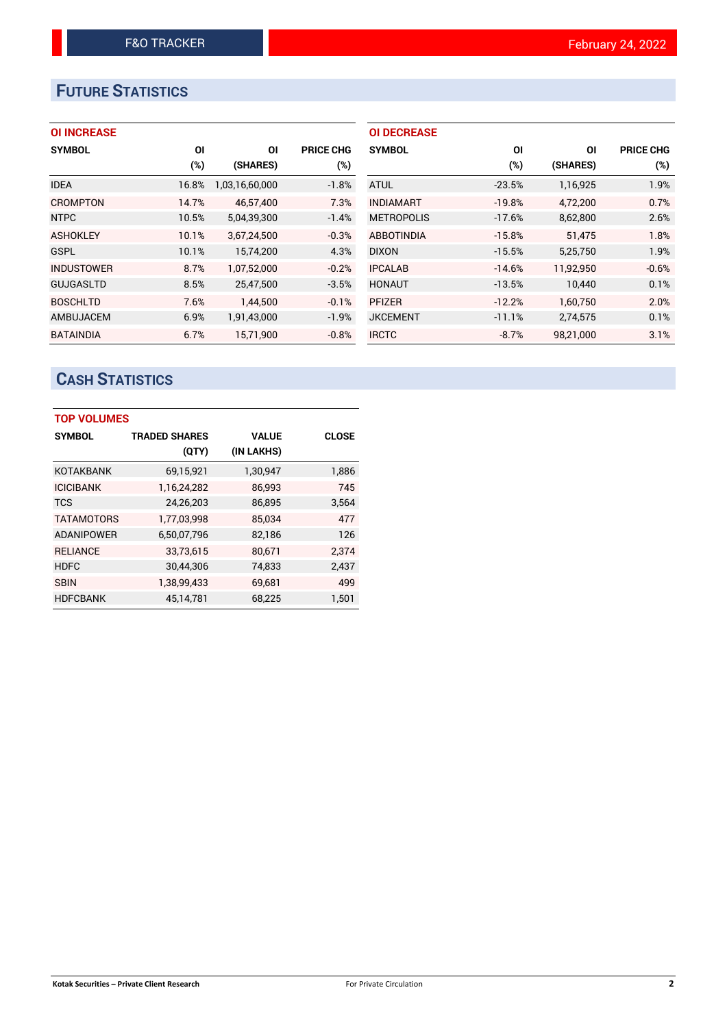# **FUTURE STATISTICS**

## **OI INCREASE**

| <b>SYMBOL</b>     | ΟI    | ΟI             | <b>PRICE CHG</b> |
|-------------------|-------|----------------|------------------|
|                   | (%)   | (SHARES)       | (%)              |
| <b>IDEA</b>       | 16.8% | 1,03,16,60,000 | $-1.8%$          |
| <b>CROMPTON</b>   | 14.7% | 46.57.400      | 7.3%             |
| <b>NTPC</b>       | 10.5% | 5,04,39,300    | $-1.4%$          |
| <b>ASHOKLEY</b>   | 10.1% | 3,67,24,500    | $-0.3%$          |
| <b>GSPL</b>       | 10.1% | 15,74,200      | 4.3%             |
| <b>INDUSTOWER</b> | 8.7%  | 1,07,52,000    | $-0.2%$          |
| <b>GUJGASLTD</b>  | 8.5%  | 25,47,500      | $-3.5%$          |
| <b>BOSCHLTD</b>   | 7.6%  | 1,44,500       | $-0.1%$          |
| AMBUJACEM         | 6.9%  | 1,91,43,000    | $-1.9%$          |
| <b>BATAINDIA</b>  | 6.7%  | 15,71,900      | $-0.8%$          |

| <b>OI DECREASE</b> |          |           |                  |
|--------------------|----------|-----------|------------------|
| <b>SYMBOL</b>      | ΟI       | ΟI        | <b>PRICE CHG</b> |
|                    | $(\%)$   | (SHARES)  | (%)              |
| <b>ATUL</b>        | $-23.5%$ | 1,16,925  | 1.9%             |
| <b>INDIAMART</b>   | $-19.8%$ | 4,72,200  | 0.7%             |
| <b>METROPOLIS</b>  | $-17.6%$ | 8,62,800  | 2.6%             |
| <b>ABBOTINDIA</b>  | $-15.8%$ | 51.475    | 1.8%             |
| <b>DIXON</b>       | $-15.5%$ | 5,25,750  | 1.9%             |
| <b>IPCALAB</b>     | $-14.6%$ | 11,92,950 | $-0.6%$          |
| <b>HONAUT</b>      | $-13.5%$ | 10,440    | 0.1%             |
| <b>PFIZER</b>      | $-12.2%$ | 1,60,750  | 2.0%             |
| <b>JKCEMENT</b>    | $-11.1%$ | 2,74,575  | 0.1%             |
| <b>IRCTC</b>       | $-8.7%$  | 98,21,000 | 3.1%             |

# **CASH STATISTICS**

| <b>TOP VOLUMES</b> |                      |              |              |  |  |  |  |  |
|--------------------|----------------------|--------------|--------------|--|--|--|--|--|
| <b>SYMBOL</b>      | <b>TRADED SHARES</b> | <b>VALUE</b> | <b>CLOSE</b> |  |  |  |  |  |
|                    | (QTY)                | (IN LAKHS)   |              |  |  |  |  |  |
| <b>KOTAKBANK</b>   | 69,15,921            | 1,30,947     | 1,886        |  |  |  |  |  |
| <b>ICICIBANK</b>   | 1,16,24,282          | 86,993       | 745          |  |  |  |  |  |
| <b>TCS</b>         | 24,26,203            | 86,895       | 3,564        |  |  |  |  |  |
| <b>TATAMOTORS</b>  | 1,77,03,998          | 85.034       | 477          |  |  |  |  |  |
| <b>ADANIPOWER</b>  | 6,50,07,796          | 82,186       | 126          |  |  |  |  |  |
| <b>RELIANCE</b>    | 33,73,615            | 80,671       | 2.374        |  |  |  |  |  |
| <b>HDFC</b>        | 30,44,306            | 74,833       | 2,437        |  |  |  |  |  |
| <b>SBIN</b>        | 1,38,99,433          | 69,681       | 499          |  |  |  |  |  |
| <b>HDFCBANK</b>    | 45.14.781            | 68.225       | 1.501        |  |  |  |  |  |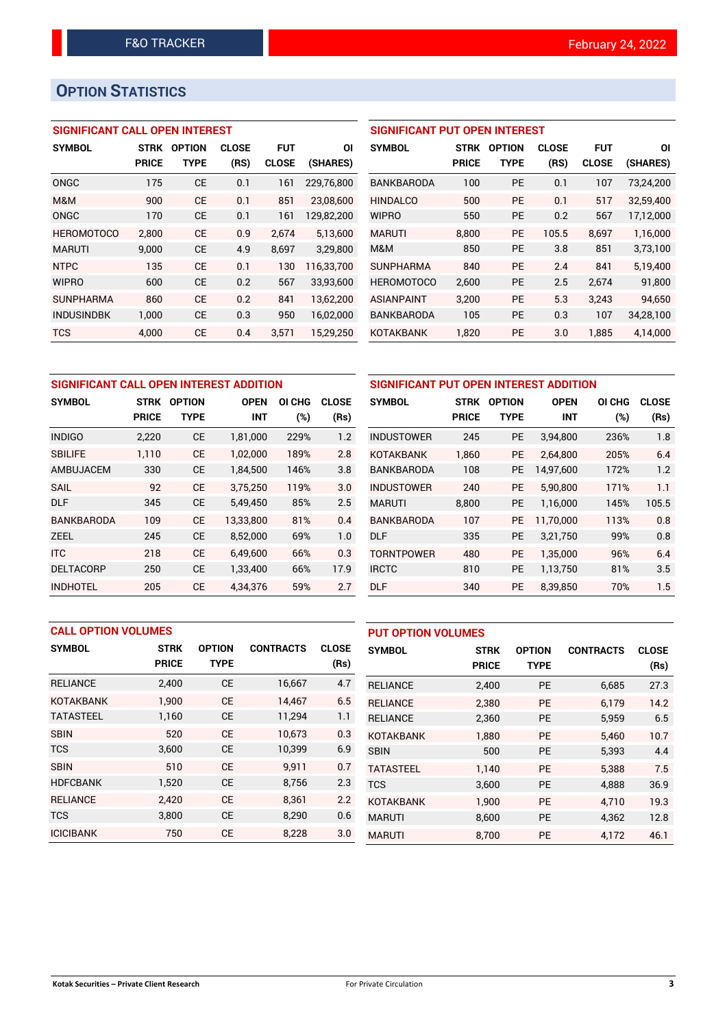# **OPTION STATISTICS**

## **SIGNIFICANT CALL OPEN INTEREST**

| <b>SYMBOL</b>     | <b>STRK</b>  | <b>OPTION</b> | <b>CLOSE</b> | <b>FUT</b>   | ΟI         |
|-------------------|--------------|---------------|--------------|--------------|------------|
|                   | <b>PRICE</b> | <b>TYPE</b>   | (RS)         | <b>CLOSE</b> | (SHARES)   |
| ONGC              | 175          | CE            | 0.1          | 161          | 229,76,800 |
| M&M               | 900          | СE            | 0.1          | 851          | 23,08,600  |
| ONGC              | 170          | <b>CE</b>     | 0.1          | 161          | 129,82,200 |
| <b>HEROMOTOCO</b> | 2,800        | CE            | 0.9          | 2,674        | 5,13,600   |
| <b>MARUTI</b>     | 9,000        | CE            | 4.9          | 8,697        | 3,29,800   |
| <b>NTPC</b>       | 135          | <b>CE</b>     | 0.1          | 130          | 116,33,700 |
| <b>WIPRO</b>      | 600          | CE            | 0.2          | 567          | 33,93,600  |
| <b>SUNPHARMA</b>  | 860          | CF            | 0.2          | 841          | 13,62,200  |
| <b>INDUSINDBK</b> | 1,000        | <b>CE</b>     | 0.3          | 950          | 16,02,000  |
| <b>TCS</b>        | 4.000        | CE            | 0.4          | 3.571        | 15.29.250  |

### **SIGNIFICANT PUT OPEN INTEREST**

| <b>SYMBOL</b>     | <b>STRK</b> | <b>OPTION</b> | <b>CLOSE</b> | FUT          | ΟI        |
|-------------------|-------------|---------------|--------------|--------------|-----------|
|                   | PRICE       | <b>TYPE</b>   | (RS)         | <b>CLOSE</b> | (SHARES)  |
| <b>BANKBARODA</b> | 100         | PE            | 0.1          | 107          | 73,24,200 |
| <b>HINDALCO</b>   | 500         | РE            | 0.1          | 517          | 32,59,400 |
| <b>WIPRO</b>      | 550         | PE            | 0.2          | 567          | 17,12,000 |
| <b>MARUTI</b>     | 8.800       | РE            | 105.5        | 8.697        | 1,16,000  |
| M&M               | 850         | PE            | 3.8          | 851          | 3,73,100  |
| <b>SUNPHARMA</b>  | 840         | РE            | 2.4          | 841          | 5.19.400  |
| <b>HEROMOTOCO</b> | 2,600       | PE            | 2.5          | 2,674        | 91,800    |
| <b>ASIANPAINT</b> | 3.200       | PE            | 5.3          | 3.243        | 94.650    |
| BANKBARODA        | 105         | <b>PE</b>     | 0.3          | 107          | 34,28,100 |
| <b>KOTAKBANK</b>  | 1,820       | <b>PE</b>     | 3.0          | 1.885        | 4,14,000  |

| SIGNIFICANT CALL OPEN INTEREST ADDITION |              |               |             |        |              | <b>SIGNIFICANT PUT OPEN</b> |              |  |
|-----------------------------------------|--------------|---------------|-------------|--------|--------------|-----------------------------|--------------|--|
| <b>SYMBOL</b>                           | <b>STRK</b>  | <b>OPTION</b> | <b>OPEN</b> | OI CHG | <b>CLOSE</b> | <b>SYMBOL</b>               | STRK C       |  |
|                                         | <b>PRICE</b> | <b>TYPE</b>   | <b>INT</b>  | (%)    | (Rs)         |                             | <b>PRICE</b> |  |
| <b>INDIGO</b>                           | 2,220        | <b>CE</b>     | 1,81,000    | 229%   | 1.2          | <b>INDUSTOWER</b>           | 245          |  |
| <b>SBILIFE</b>                          | 1.110        | <b>CE</b>     | 1.02.000    | 189%   | 2.8          | <b>KOTAKBANK</b>            | 1.860        |  |
| AMBUJACEM                               | 330          | <b>CE</b>     | 1,84,500    | 146%   | 3.8          | <b>BANKBARODA</b>           | 108          |  |
| <b>SAIL</b>                             | 92           | <b>CE</b>     | 3.75.250    | 119%   | 3.0          | <b>INDUSTOWER</b>           | 240          |  |
| <b>DLF</b>                              | 345          | <b>CE</b>     | 5,49,450    | 85%    | 2.5          | <b>MARUTI</b>               | 8,800        |  |
| <b>BANKBARODA</b>                       | 109          | <b>CE</b>     | 13,33,800   | 81%    | 0.4          | <b>BANKBARODA</b>           | 107          |  |
| <b>ZEEL</b>                             | 245          | <b>CE</b>     | 8,52,000    | 69%    | 1.0          | <b>DLF</b>                  | 335          |  |
| <b>ITC</b>                              | 218          | <b>CE</b>     | 6.49.600    | 66%    | 0.3          | <b>TORNTPOWER</b>           | 480          |  |
| <b>DELTACORP</b>                        | 250          | <b>CE</b>     | 1,33,400    | 66%    | 17.9         | <b>IRCTC</b>                | 810          |  |
| <b>INDHOTEL</b>                         | 205          | <b>CE</b>     | 4,34,376    | 59%    | 2.7          | <b>DLF</b>                  | 340          |  |

| SIGNIFICANT PUT OPEN INTEREST ADDITION |                              |           |             |        |              |  |  |  |
|----------------------------------------|------------------------------|-----------|-------------|--------|--------------|--|--|--|
| <b>SYMBOL</b>                          | <b>STRK</b><br><b>OPTION</b> |           | <b>OPEN</b> | OI CHG | <b>CLOSE</b> |  |  |  |
|                                        | <b>PRICE</b>                 | TYPE      | <b>INT</b>  | (%)    | (Rs)         |  |  |  |
| <b>INDUSTOWER</b>                      | 245                          | <b>PE</b> | 3,94,800    | 236%   | 1.8          |  |  |  |
| KOTAKBANK                              | 1,860                        | <b>PE</b> | 2,64,800    | 205%   | 6.4          |  |  |  |
| <b>BANKBARODA</b>                      | 108                          | <b>PE</b> | 14,97,600   | 172%   | 1.2          |  |  |  |
| <b>INDUSTOWER</b>                      | 240                          | <b>PE</b> | 5,90,800    | 171%   | 1.1          |  |  |  |
| <b>MARUTI</b>                          | 8,800                        | <b>PE</b> | 1,16,000    | 145%   | 105.5        |  |  |  |
| <b>BANKBARODA</b>                      | 107                          | <b>PE</b> | 11,70,000   | 113%   | 0.8          |  |  |  |
| DLF                                    | 335                          | <b>PE</b> | 3,21,750    | 99%    | 0.8          |  |  |  |
| TORNTPOWER                             | 480                          | <b>PE</b> | 1,35,000    | 96%    | 6.4          |  |  |  |
| <b>IRCTC</b>                           | 810                          | <b>PE</b> | 1,13,750    | 81%    | 3.5          |  |  |  |
| <b>DLF</b>                             | 340                          | PE        | 8,39,850    | 70%    | 1.5          |  |  |  |

| <b>CALL OPTION VOLUMES</b> |              |               |                  | <b>PUT OPTION VOLUMES</b> |                  |              |               |                  |              |
|----------------------------|--------------|---------------|------------------|---------------------------|------------------|--------------|---------------|------------------|--------------|
| <b>SYMBOL</b>              | <b>STRK</b>  | <b>OPTION</b> | <b>CONTRACTS</b> | <b>CLOSE</b>              | <b>SYMBOL</b>    | <b>STRK</b>  | <b>OPTION</b> | <b>CONTRACTS</b> | <b>CLOSE</b> |
|                            | <b>PRICE</b> | <b>TYPE</b>   |                  | (Rs)                      |                  | <b>PRICE</b> | <b>TYPE</b>   |                  | (Rs)         |
| <b>RELIANCE</b>            | 2,400        | <b>CE</b>     | 16,667           | 4.7                       | <b>RELIANCE</b>  | 2,400        | <b>PE</b>     | 6,685            | 27.3         |
| <b>KOTAKBANK</b>           | 1.900        | <b>CE</b>     | 14.467           | 6.5                       | <b>RELIANCE</b>  | 2,380        | <b>PE</b>     | 6.179            | 14.2         |
| <b>TATASTEEL</b>           | 1,160        | <b>CE</b>     | 11,294           | 1.1                       | <b>RELIANCE</b>  | 2,360        | <b>PE</b>     | 5,959            | 6.5          |
| <b>SBIN</b>                | 520          | <b>CE</b>     | 10.673           | 0.3                       | <b>KOTAKBANK</b> | 1.880        | <b>PE</b>     | 5.460            | 10.7         |
| <b>TCS</b>                 | 3,600        | <b>CE</b>     | 10,399           | 6.9                       | <b>SBIN</b>      | 500          | <b>PE</b>     | 5,393            | 4.4          |
| <b>SBIN</b>                | 510          | <b>CE</b>     | 9,911            | 0.7                       | <b>TATASTEEL</b> | 1.140        | <b>PE</b>     | 5.388            | 7.5          |
| <b>HDFCBANK</b>            | 1,520        | <b>CE</b>     | 8,756            | 2.3                       | <b>TCS</b>       | 3,600        | <b>PE</b>     | 4,888            | 36.9         |
| <b>RELIANCE</b>            | 2.420        | <b>CE</b>     | 8.361            | 2.2                       | <b>KOTAKBANK</b> | 1,900        | <b>PE</b>     | 4.710            | 19.3         |
| <b>TCS</b>                 | 3,800        | <b>CE</b>     | 8.290            | 0.6                       | <b>MARUTI</b>    | 8,600        | <b>PE</b>     | 4,362            | 12.8         |
| <b>ICICIBANK</b>           | 750          | <b>CE</b>     | 8,228            | 3.0                       | <b>MARUTI</b>    | 8,700        | PE            | 4,172            | 46.1         |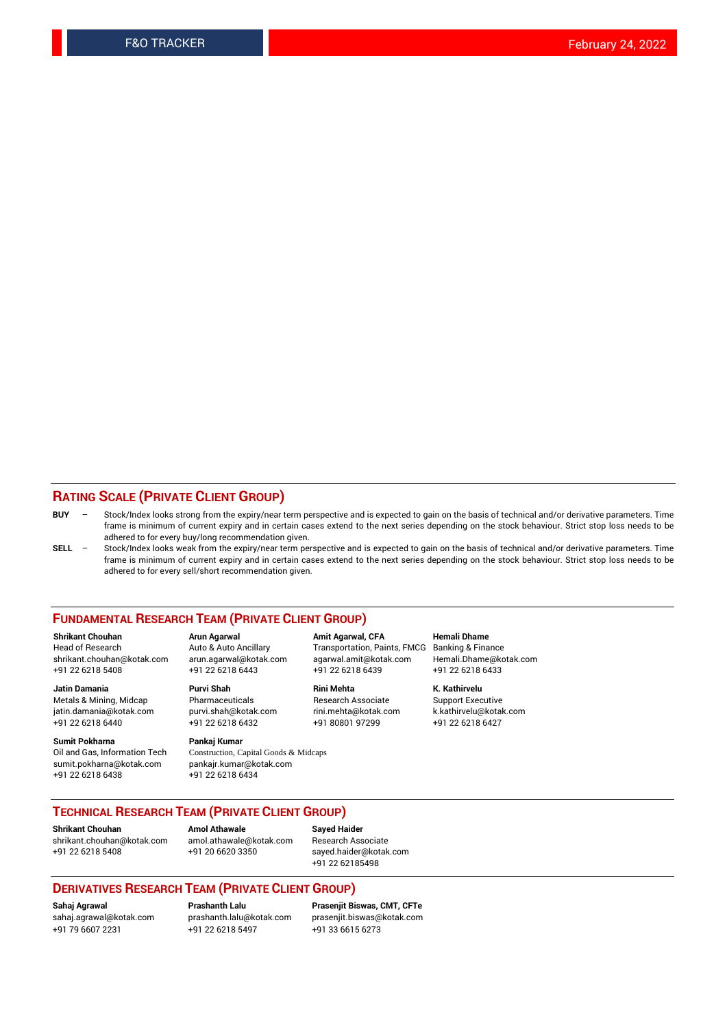### **RATING SCALE (PRIVATE CLIENT GROUP)**

- **BUY**  Stock/Index looks strong from the expiry/near term perspective and is expected to gain on the basis of technical and/or derivative parameters. Time frame is minimum of current expiry and in certain cases extend to the next series depending on the stock behaviour. Strict stop loss needs to be adhered to for every buy/long recommendation given.
- **SELL** Stock/Index looks weak from the expiry/near term perspective and is expected to gain on the basis of technical and/or derivative parameters. Time frame is minimum of current expiry and in certain cases extend to the next series depending on the stock behaviour. Strict stop loss needs to be adhered to for every sell/short recommendation given.

#### **FUNDAMENTAL RESEARCH TEAM (PRIVATE CLIENT GROUP)**

**Shrikant Chouhan Arun Agarwal Amit Agarwal, CFA Hemali Dhame** shrikant.chouhan@kotak.com arun.agarwal@kotak.com agarwal.amit@kotak.com Hemali.Dhame@kotak.com +91 22 6218 5408 +91 22 6218 6443 +91 22 6218 6439 +91 22 6218 6433

jatin.damania@kotak.com +91 22 6218 6440 +91 22 6218 6432 +91 80801 97299 +91 22 6218 6427

**Sumit Pokharna** Pankaj Kumar<br>Oil and Gas, Information Tech Construction, C sumit.pokharna@kotak.com pankajr.kumar@kotak.com +91 22 6218 6438 +91 22 6218 6434

**Jatin Damania Purvi Shah Rini Mehta K. Kathirvelu**

Construction, Capital Goods & Midcaps

Transportation, Paints, FMCG

Metals & Mining, Midcap Pharmaceuticals Pharmaceuticals Research Associate Support Executive<br>
iatin.damania@kotak.com purvi.shah@kotak.com rini.mehta@kotak.com k.kathirvelu@kotak.com

### **TECHNICAL RESEARCH TEAM (PRIVATE CLIENT GROUP)**

[shrikant.chouhan@kotak.com](mailto:shrikant.chouhan@kotak.com) [amol.athawale@kotak.com](mailto:amol.athawale@kotak.com) Research Associate +91 22 6218 5408 +91 20 6620 3350 [sayed.haider@kotak.com](mailto:sayed.haider@kotak.com)

**Shrikant Chouhan Amol Athawale Sayed Haider**

+91 22 62185498

#### **DERIVATIVES RESEARCH TEAM (PRIVATE CLIENT GROUP)**

+91 79 6607 2231 +91 22 6218 5497 +91 33 6615 6273

**Sahaj Agrawal Prashanth Lalu Prasenjit Biswas, CMT, CFTe** [prasenjit.biswas@kotak.com](mailto:prasenjit.biswas@kotak.com)